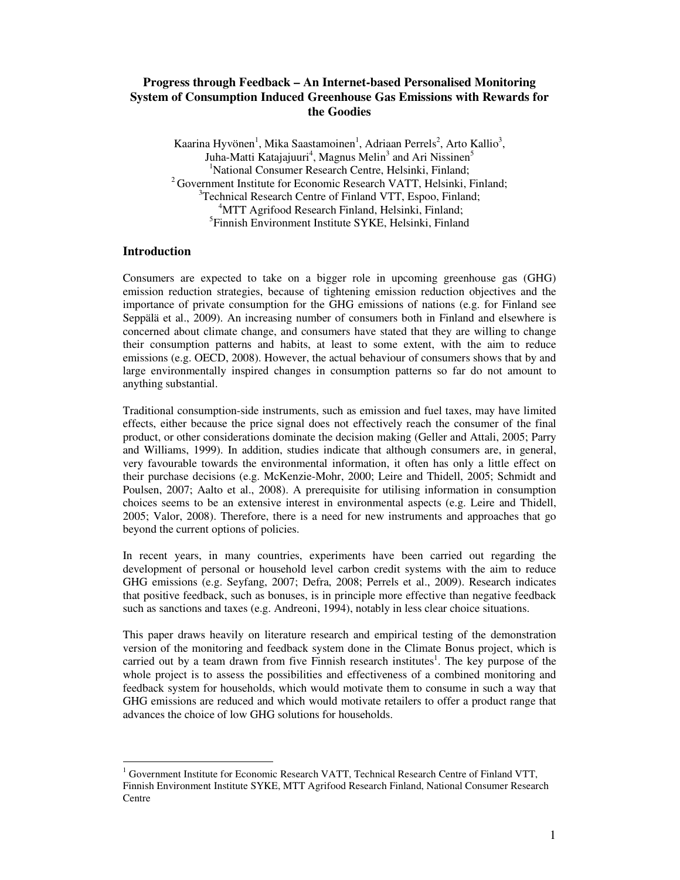# **Progress through Feedback – An Internet-based Personalised Monitoring System of Consumption Induced Greenhouse Gas Emissions with Rewards for the Goodies**

Kaarina Hyvönen<sup>1</sup>, Mika Saastamoinen<sup>1</sup>, Adriaan Perrels<sup>2</sup>, Arto Kallio<sup>3</sup>, Juha-Matti Katajajuuri<sup>4</sup>, Magnus Melin<sup>3</sup> and Ari Nissinen<sup>5</sup> <sup>1</sup>National Consumer Research Centre, Helsinki, Finland; <sup>2</sup> Government Institute for Economic Research VATT, Helsinki, Finland; <sup>3</sup>Technical Research Centre of Finland VTT, Espoo, Finland; <sup>4</sup>MTT Agrifood Research Finland, Helsinki, Finland; 5 Finnish Environment Institute SYKE, Helsinki, Finland

# **Introduction**

Consumers are expected to take on a bigger role in upcoming greenhouse gas (GHG) emission reduction strategies, because of tightening emission reduction objectives and the importance of private consumption for the GHG emissions of nations (e.g. for Finland see Seppälä et al., 2009). An increasing number of consumers both in Finland and elsewhere is concerned about climate change, and consumers have stated that they are willing to change their consumption patterns and habits, at least to some extent, with the aim to reduce emissions (e.g. OECD, 2008). However, the actual behaviour of consumers shows that by and large environmentally inspired changes in consumption patterns so far do not amount to anything substantial.

Traditional consumption-side instruments, such as emission and fuel taxes, may have limited effects, either because the price signal does not effectively reach the consumer of the final product, or other considerations dominate the decision making (Geller and Attali, 2005; Parry and Williams, 1999). In addition, studies indicate that although consumers are, in general, very favourable towards the environmental information, it often has only a little effect on their purchase decisions (e.g. McKenzie-Mohr, 2000; Leire and Thidell, 2005; Schmidt and Poulsen, 2007; Aalto et al., 2008). A prerequisite for utilising information in consumption choices seems to be an extensive interest in environmental aspects (e.g. Leire and Thidell, 2005; Valor, 2008). Therefore, there is a need for new instruments and approaches that go beyond the current options of policies.

In recent years, in many countries, experiments have been carried out regarding the development of personal or household level carbon credit systems with the aim to reduce GHG emissions (e.g. Seyfang, 2007; Defra, 2008; Perrels et al., 2009). Research indicates that positive feedback, such as bonuses, is in principle more effective than negative feedback such as sanctions and taxes (e.g. Andreoni, 1994), notably in less clear choice situations.

This paper draws heavily on literature research and empirical testing of the demonstration version of the monitoring and feedback system done in the Climate Bonus project, which is carried out by a team drawn from five Finnish research institutes<sup>1</sup>. The key purpose of the whole project is to assess the possibilities and effectiveness of a combined monitoring and feedback system for households, which would motivate them to consume in such a way that GHG emissions are reduced and which would motivate retailers to offer a product range that advances the choice of low GHG solutions for households.

<sup>&</sup>lt;sup>1</sup> Government Institute for Economic Research VATT, Technical Research Centre of Finland VTT, Finnish Environment Institute SYKE, MTT Agrifood Research Finland, National Consumer Research Centre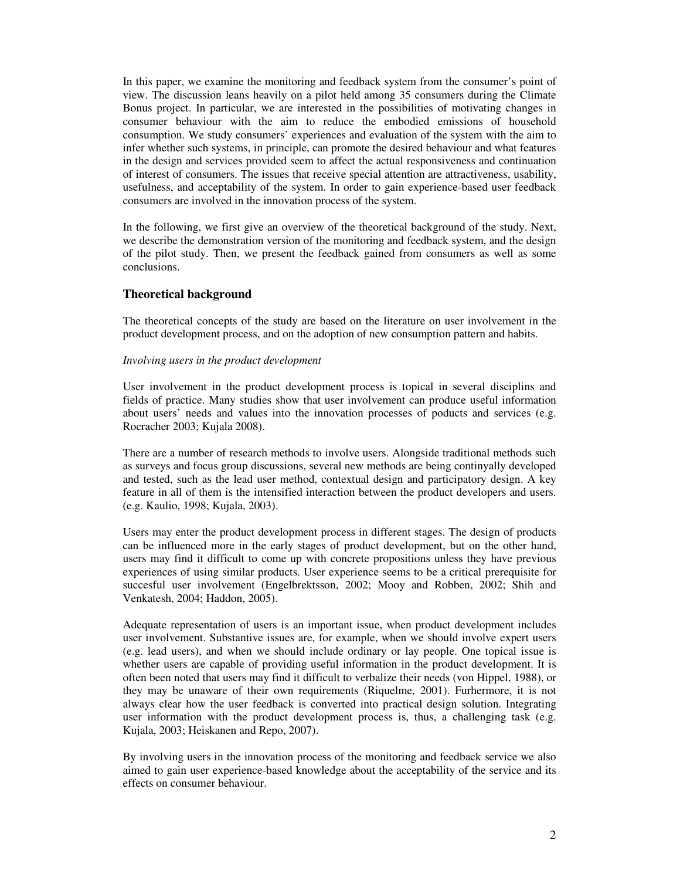In this paper, we examine the monitoring and feedback system from the consumer's point of view. The discussion leans heavily on a pilot held among 35 consumers during the Climate Bonus project. In particular, we are interested in the possibilities of motivating changes in consumer behaviour with the aim to reduce the embodied emissions of household consumption. We study consumers' experiences and evaluation of the system with the aim to infer whether such systems, in principle, can promote the desired behaviour and what features in the design and services provided seem to affect the actual responsiveness and continuation of interest of consumers. The issues that receive special attention are attractiveness, usability, usefulness, and acceptability of the system. In order to gain experience-based user feedback consumers are involved in the innovation process of the system.

In the following, we first give an overview of the theoretical background of the study. Next, we describe the demonstration version of the monitoring and feedback system, and the design of the pilot study. Then, we present the feedback gained from consumers as well as some conclusions.

## **Theoretical background**

The theoretical concepts of the study are based on the literature on user involvement in the product development process, and on the adoption of new consumption pattern and habits.

#### *Involving users in the product development*

User involvement in the product development process is topical in several disciplins and fields of practice. Many studies show that user involvement can produce useful information about users' needs and values into the innovation processes of poducts and services (e.g. Rocracher 2003; Kujala 2008).

There are a number of research methods to involve users. Alongside traditional methods such as surveys and focus group discussions, several new methods are being continyally developed and tested, such as the lead user method, contextual design and participatory design. A key feature in all of them is the intensified interaction between the product developers and users. (e.g. Kaulio, 1998; Kujala, 2003).

Users may enter the product development process in different stages. The design of products can be influenced more in the early stages of product development, but on the other hand, users may find it difficult to come up with concrete propositions unless they have previous experiences of using similar products. User experience seems to be a critical prerequisite for succesful user involvement (Engelbrektsson, 2002; Mooy and Robben, 2002; Shih and Venkatesh, 2004; Haddon, 2005).

Adequate representation of users is an important issue, when product development includes user involvement. Substantive issues are, for example, when we should involve expert users (e.g. lead users), and when we should include ordinary or lay people. One topical issue is whether users are capable of providing useful information in the product development. It is often been noted that users may find it difficult to verbalize their needs (von Hippel, 1988), or they may be unaware of their own requirements (Riquelme, 2001). Furhermore, it is not always clear how the user feedback is converted into practical design solution. Integrating user information with the product development process is, thus, a challenging task (e.g. Kujala, 2003; Heiskanen and Repo, 2007).

By involving users in the innovation process of the monitoring and feedback service we also aimed to gain user experience-based knowledge about the acceptability of the service and its effects on consumer behaviour.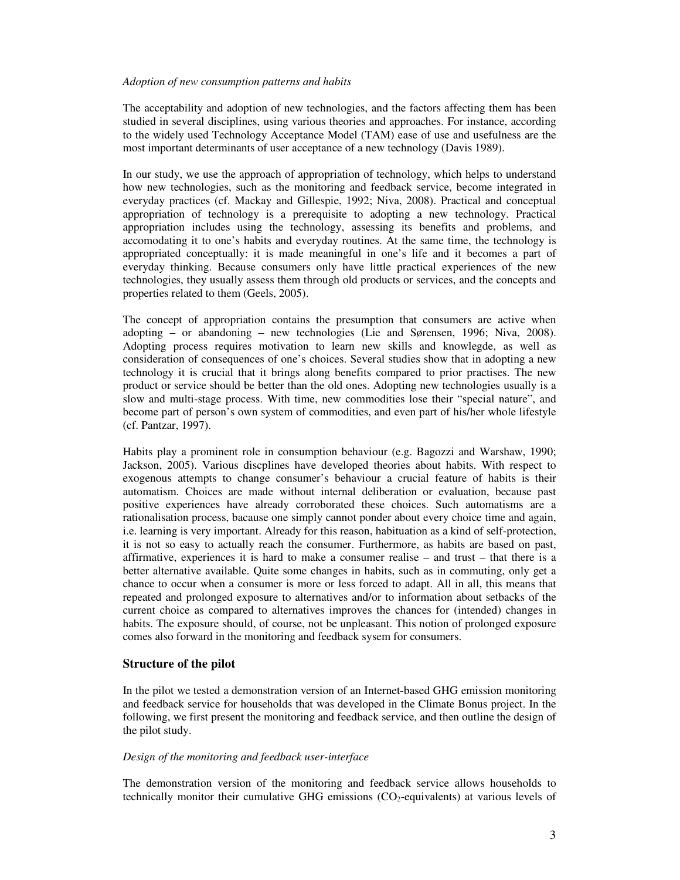#### *Adoption of new consumption patterns and habits*

The acceptability and adoption of new technologies, and the factors affecting them has been studied in several disciplines, using various theories and approaches. For instance, according to the widely used Technology Acceptance Model (TAM) ease of use and usefulness are the most important determinants of user acceptance of a new technology (Davis 1989).

In our study, we use the approach of appropriation of technology, which helps to understand how new technologies, such as the monitoring and feedback service, become integrated in everyday practices (cf. Mackay and Gillespie, 1992; Niva, 2008). Practical and conceptual appropriation of technology is a prerequisite to adopting a new technology. Practical appropriation includes using the technology, assessing its benefits and problems, and accomodating it to one's habits and everyday routines. At the same time, the technology is appropriated conceptually: it is made meaningful in one's life and it becomes a part of everyday thinking. Because consumers only have little practical experiences of the new technologies, they usually assess them through old products or services, and the concepts and properties related to them (Geels, 2005).

The concept of appropriation contains the presumption that consumers are active when adopting – or abandoning – new technologies (Lie and Sørensen, 1996; Niva, 2008). Adopting process requires motivation to learn new skills and knowlegde, as well as consideration of consequences of one's choices. Several studies show that in adopting a new technology it is crucial that it brings along benefits compared to prior practises. The new product or service should be better than the old ones. Adopting new technologies usually is a slow and multi-stage process. With time, new commodities lose their "special nature", and become part of person's own system of commodities, and even part of his/her whole lifestyle (cf. Pantzar, 1997).

Habits play a prominent role in consumption behaviour (e.g. Bagozzi and Warshaw, 1990; Jackson, 2005). Various discplines have developed theories about habits. With respect to exogenous attempts to change consumer's behaviour a crucial feature of habits is their automatism. Choices are made without internal deliberation or evaluation, because past positive experiences have already corroborated these choices. Such automatisms are a rationalisation process, bacause one simply cannot ponder about every choice time and again, i.e. learning is very important. Already for this reason, habituation as a kind of self-protection, it is not so easy to actually reach the consumer. Furthermore, as habits are based on past, affirmative, experiences it is hard to make a consumer realise – and trust – that there is a better alternative available. Quite some changes in habits, such as in commuting, only get a chance to occur when a consumer is more or less forced to adapt. All in all, this means that repeated and prolonged exposure to alternatives and/or to information about setbacks of the current choice as compared to alternatives improves the chances for (intended) changes in habits. The exposure should, of course, not be unpleasant. This notion of prolonged exposure comes also forward in the monitoring and feedback sysem for consumers.

# **Structure of the pilot**

In the pilot we tested a demonstration version of an Internet-based GHG emission monitoring and feedback service for households that was developed in the Climate Bonus project. In the following, we first present the monitoring and feedback service, and then outline the design of the pilot study.

### *Design of the monitoring and feedback user-interface*

The demonstration version of the monitoring and feedback service allows households to technically monitor their cumulative GHG emissions  $(CO<sub>2</sub>-equivalents)$  at various levels of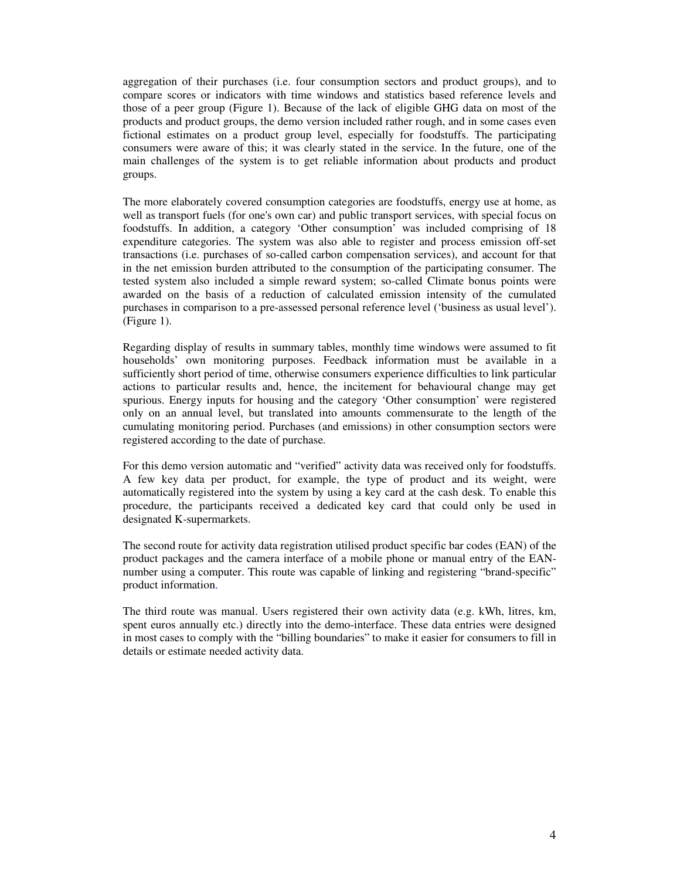aggregation of their purchases (i.e. four consumption sectors and product groups), and to compare scores or indicators with time windows and statistics based reference levels and those of a peer group (Figure 1). Because of the lack of eligible GHG data on most of the products and product groups, the demo version included rather rough, and in some cases even fictional estimates on a product group level, especially for foodstuffs. The participating consumers were aware of this; it was clearly stated in the service. In the future, one of the main challenges of the system is to get reliable information about products and product groups.

The more elaborately covered consumption categories are foodstuffs, energy use at home, as well as transport fuels (for one's own car) and public transport services, with special focus on foodstuffs. In addition, a category 'Other consumption' was included comprising of 18 expenditure categories. The system was also able to register and process emission off-set transactions (i.e. purchases of so-called carbon compensation services), and account for that in the net emission burden attributed to the consumption of the participating consumer. The tested system also included a simple reward system; so-called Climate bonus points were awarded on the basis of a reduction of calculated emission intensity of the cumulated purchases in comparison to a pre-assessed personal reference level ('business as usual level'). (Figure 1).

Regarding display of results in summary tables, monthly time windows were assumed to fit households' own monitoring purposes. Feedback information must be available in a sufficiently short period of time, otherwise consumers experience difficulties to link particular actions to particular results and, hence, the incitement for behavioural change may get spurious. Energy inputs for housing and the category 'Other consumption' were registered only on an annual level, but translated into amounts commensurate to the length of the cumulating monitoring period. Purchases (and emissions) in other consumption sectors were registered according to the date of purchase.

For this demo version automatic and "verified" activity data was received only for foodstuffs. A few key data per product, for example, the type of product and its weight, were automatically registered into the system by using a key card at the cash desk. To enable this procedure, the participants received a dedicated key card that could only be used in designated K-supermarkets.

The second route for activity data registration utilised product specific bar codes (EAN) of the product packages and the camera interface of a mobile phone or manual entry of the EANnumber using a computer. This route was capable of linking and registering "brand-specific" product information.

The third route was manual. Users registered their own activity data (e.g. kWh, litres, km, spent euros annually etc.) directly into the demo-interface. These data entries were designed in most cases to comply with the "billing boundaries" to make it easier for consumers to fill in details or estimate needed activity data.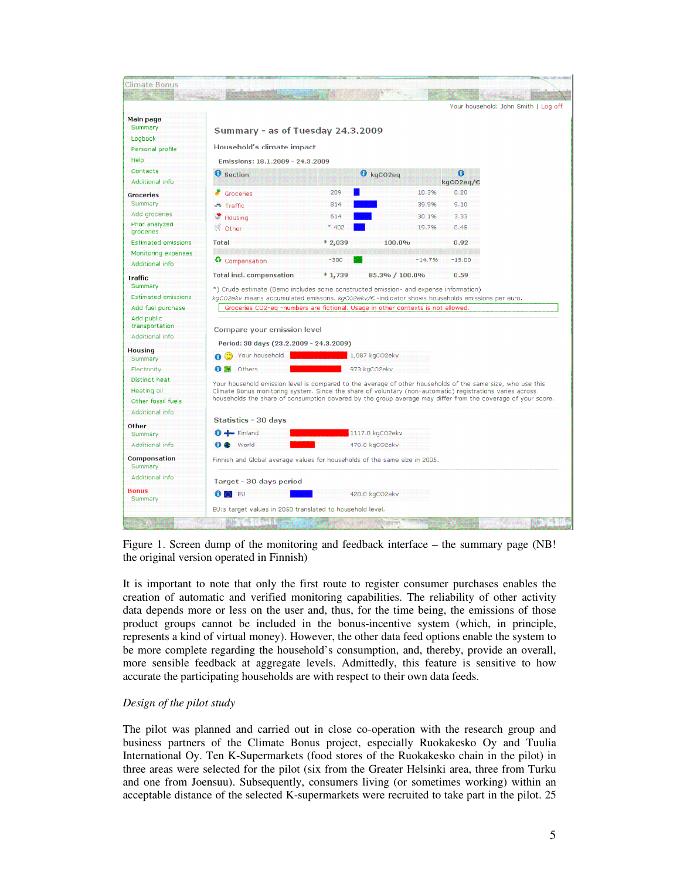

Figure 1. Screen dump of the monitoring and feedback interface – the summary page (NB! the original version operated in Finnish)

It is important to note that only the first route to register consumer purchases enables the creation of automatic and verified monitoring capabilities. The reliability of other activity data depends more or less on the user and, thus, for the time being, the emissions of those product groups cannot be included in the bonus-incentive system (which, in principle, represents a kind of virtual money). However, the other data feed options enable the system to be more complete regarding the household's consumption, and, thereby, provide an overall, more sensible feedback at aggregate levels. Admittedly, this feature is sensitive to how accurate the participating households are with respect to their own data feeds.

# *Design of the pilot study*

The pilot was planned and carried out in close co-operation with the research group and business partners of the Climate Bonus project, especially Ruokakesko Oy and Tuulia International Oy. Ten K-Supermarkets (food stores of the Ruokakesko chain in the pilot) in three areas were selected for the pilot (six from the Greater Helsinki area, three from Turku and one from Joensuu). Subsequently, consumers living (or sometimes working) within an acceptable distance of the selected K-supermarkets were recruited to take part in the pilot. 25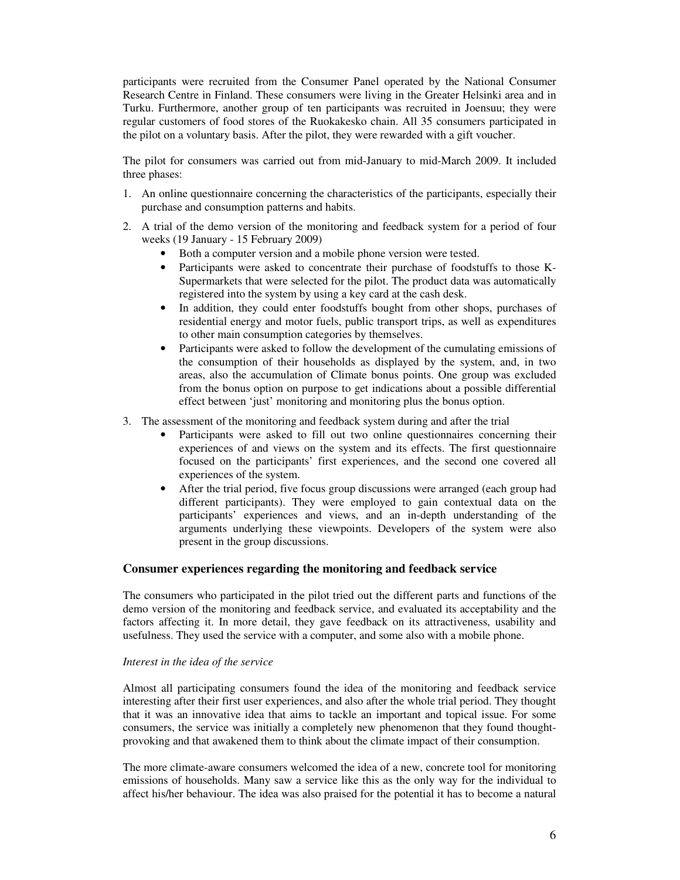participants were recruited from the Consumer Panel operated by the National Consumer Research Centre in Finland. These consumers were living in the Greater Helsinki area and in Turku. Furthermore, another group of ten participants was recruited in Joensuu; they were regular customers of food stores of the Ruokakesko chain. All 35 consumers participated in the pilot on a voluntary basis. After the pilot, they were rewarded with a gift voucher.

The pilot for consumers was carried out from mid-January to mid-March 2009. It included three phases:

- 1. An online questionnaire concerning the characteristics of the participants, especially their purchase and consumption patterns and habits.
- 2. A trial of the demo version of the monitoring and feedback system for a period of four weeks (19 January - 15 February 2009)
	- Both a computer version and a mobile phone version were tested.
	- Participants were asked to concentrate their purchase of foodstuffs to those K-Supermarkets that were selected for the pilot. The product data was automatically registered into the system by using a key card at the cash desk.
	- In addition, they could enter foodstuffs bought from other shops, purchases of residential energy and motor fuels, public transport trips, as well as expenditures to other main consumption categories by themselves.
	- Participants were asked to follow the development of the cumulating emissions of the consumption of their households as displayed by the system, and, in two areas, also the accumulation of Climate bonus points. One group was excluded from the bonus option on purpose to get indications about a possible differential effect between 'just' monitoring and monitoring plus the bonus option.
- 3. The assessment of the monitoring and feedback system during and after the trial
	- Participants were asked to fill out two online questionnaires concerning their experiences of and views on the system and its effects. The first questionnaire focused on the participants' first experiences, and the second one covered all experiences of the system.
	- After the trial period, five focus group discussions were arranged (each group had different participants). They were employed to gain contextual data on the participants' experiences and views, and an in-depth understanding of the arguments underlying these viewpoints. Developers of the system were also present in the group discussions.

# **Consumer experiences regarding the monitoring and feedback service**

The consumers who participated in the pilot tried out the different parts and functions of the demo version of the monitoring and feedback service, and evaluated its acceptability and the factors affecting it. In more detail, they gave feedback on its attractiveness, usability and usefulness. They used the service with a computer, and some also with a mobile phone.

### *Interest in the idea of the service*

Almost all participating consumers found the idea of the monitoring and feedback service interesting after their first user experiences, and also after the whole trial period. They thought that it was an innovative idea that aims to tackle an important and topical issue. For some consumers, the service was initially a completely new phenomenon that they found thoughtprovoking and that awakened them to think about the climate impact of their consumption.

The more climate-aware consumers welcomed the idea of a new, concrete tool for monitoring emissions of households. Many saw a service like this as the only way for the individual to affect his/her behaviour. The idea was also praised for the potential it has to become a natural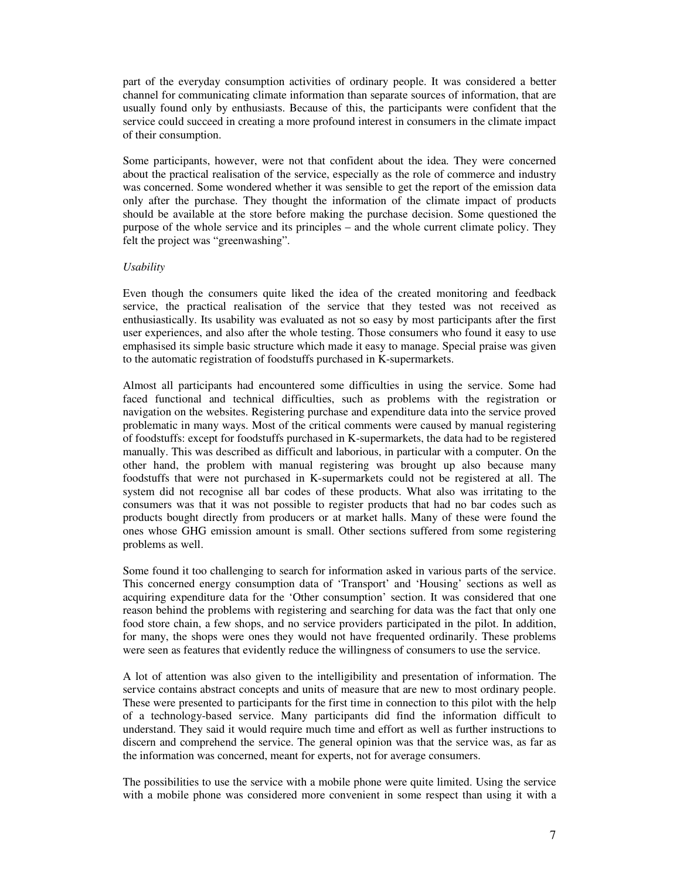part of the everyday consumption activities of ordinary people. It was considered a better channel for communicating climate information than separate sources of information, that are usually found only by enthusiasts. Because of this, the participants were confident that the service could succeed in creating a more profound interest in consumers in the climate impact of their consumption.

Some participants, however, were not that confident about the idea. They were concerned about the practical realisation of the service, especially as the role of commerce and industry was concerned. Some wondered whether it was sensible to get the report of the emission data only after the purchase. They thought the information of the climate impact of products should be available at the store before making the purchase decision. Some questioned the purpose of the whole service and its principles – and the whole current climate policy. They felt the project was "greenwashing".

#### *Usability*

Even though the consumers quite liked the idea of the created monitoring and feedback service, the practical realisation of the service that they tested was not received as enthusiastically. Its usability was evaluated as not so easy by most participants after the first user experiences, and also after the whole testing. Those consumers who found it easy to use emphasised its simple basic structure which made it easy to manage. Special praise was given to the automatic registration of foodstuffs purchased in K-supermarkets.

Almost all participants had encountered some difficulties in using the service. Some had faced functional and technical difficulties, such as problems with the registration or navigation on the websites. Registering purchase and expenditure data into the service proved problematic in many ways. Most of the critical comments were caused by manual registering of foodstuffs: except for foodstuffs purchased in K-supermarkets, the data had to be registered manually. This was described as difficult and laborious, in particular with a computer. On the other hand, the problem with manual registering was brought up also because many foodstuffs that were not purchased in K-supermarkets could not be registered at all. The system did not recognise all bar codes of these products. What also was irritating to the consumers was that it was not possible to register products that had no bar codes such as products bought directly from producers or at market halls. Many of these were found the ones whose GHG emission amount is small. Other sections suffered from some registering problems as well.

Some found it too challenging to search for information asked in various parts of the service. This concerned energy consumption data of 'Transport' and 'Housing' sections as well as acquiring expenditure data for the 'Other consumption' section. It was considered that one reason behind the problems with registering and searching for data was the fact that only one food store chain, a few shops, and no service providers participated in the pilot. In addition, for many, the shops were ones they would not have frequented ordinarily. These problems were seen as features that evidently reduce the willingness of consumers to use the service.

A lot of attention was also given to the intelligibility and presentation of information. The service contains abstract concepts and units of measure that are new to most ordinary people. These were presented to participants for the first time in connection to this pilot with the help of a technology-based service. Many participants did find the information difficult to understand. They said it would require much time and effort as well as further instructions to discern and comprehend the service. The general opinion was that the service was, as far as the information was concerned, meant for experts, not for average consumers.

The possibilities to use the service with a mobile phone were quite limited. Using the service with a mobile phone was considered more convenient in some respect than using it with a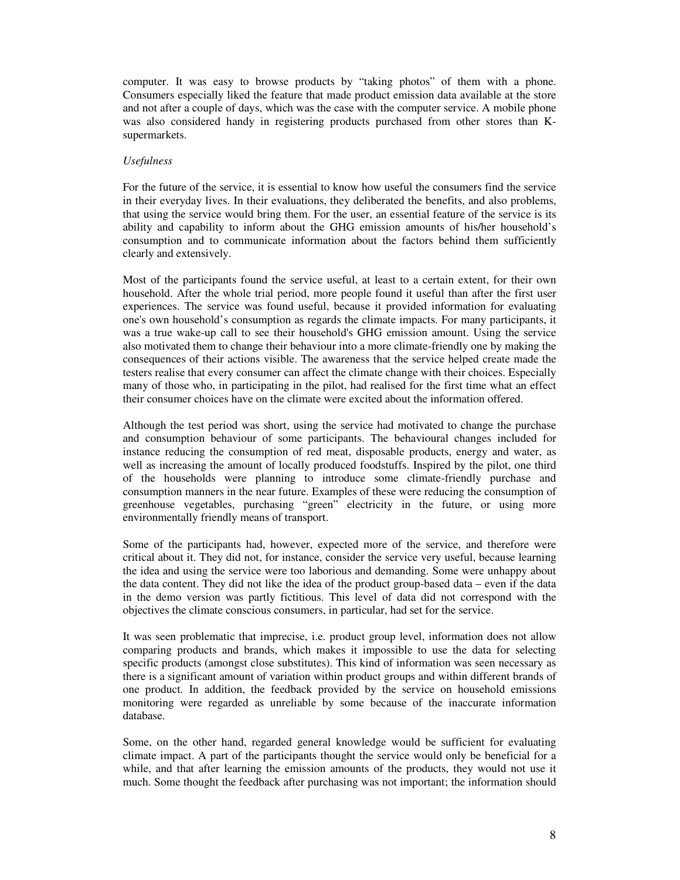computer. It was easy to browse products by "taking photos" of them with a phone. Consumers especially liked the feature that made product emission data available at the store and not after a couple of days, which was the case with the computer service. A mobile phone was also considered handy in registering products purchased from other stores than Ksupermarkets.

### *Usefulness*

For the future of the service, it is essential to know how useful the consumers find the service in their everyday lives. In their evaluations, they deliberated the benefits, and also problems, that using the service would bring them. For the user, an essential feature of the service is its ability and capability to inform about the GHG emission amounts of his/her household's consumption and to communicate information about the factors behind them sufficiently clearly and extensively.

Most of the participants found the service useful, at least to a certain extent, for their own household. After the whole trial period, more people found it useful than after the first user experiences. The service was found useful, because it provided information for evaluating one's own household's consumption as regards the climate impacts. For many participants, it was a true wake-up call to see their household's GHG emission amount. Using the service also motivated them to change their behaviour into a more climate-friendly one by making the consequences of their actions visible. The awareness that the service helped create made the testers realise that every consumer can affect the climate change with their choices. Especially many of those who, in participating in the pilot, had realised for the first time what an effect their consumer choices have on the climate were excited about the information offered.

Although the test period was short, using the service had motivated to change the purchase and consumption behaviour of some participants. The behavioural changes included for instance reducing the consumption of red meat, disposable products, energy and water, as well as increasing the amount of locally produced foodstuffs. Inspired by the pilot, one third of the households were planning to introduce some climate-friendly purchase and consumption manners in the near future. Examples of these were reducing the consumption of greenhouse vegetables, purchasing "green" electricity in the future, or using more environmentally friendly means of transport.

Some of the participants had, however, expected more of the service, and therefore were critical about it. They did not, for instance, consider the service very useful, because learning the idea and using the service were too laborious and demanding. Some were unhappy about the data content. They did not like the idea of the product group-based data – even if the data in the demo version was partly fictitious. This level of data did not correspond with the objectives the climate conscious consumers, in particular, had set for the service.

It was seen problematic that imprecise, i.e. product group level, information does not allow comparing products and brands, which makes it impossible to use the data for selecting specific products (amongst close substitutes). This kind of information was seen necessary as there is a significant amount of variation within product groups and within different brands of one product. In addition, the feedback provided by the service on household emissions monitoring were regarded as unreliable by some because of the inaccurate information database.

Some, on the other hand, regarded general knowledge would be sufficient for evaluating climate impact. A part of the participants thought the service would only be beneficial for a while, and that after learning the emission amounts of the products, they would not use it much. Some thought the feedback after purchasing was not important; the information should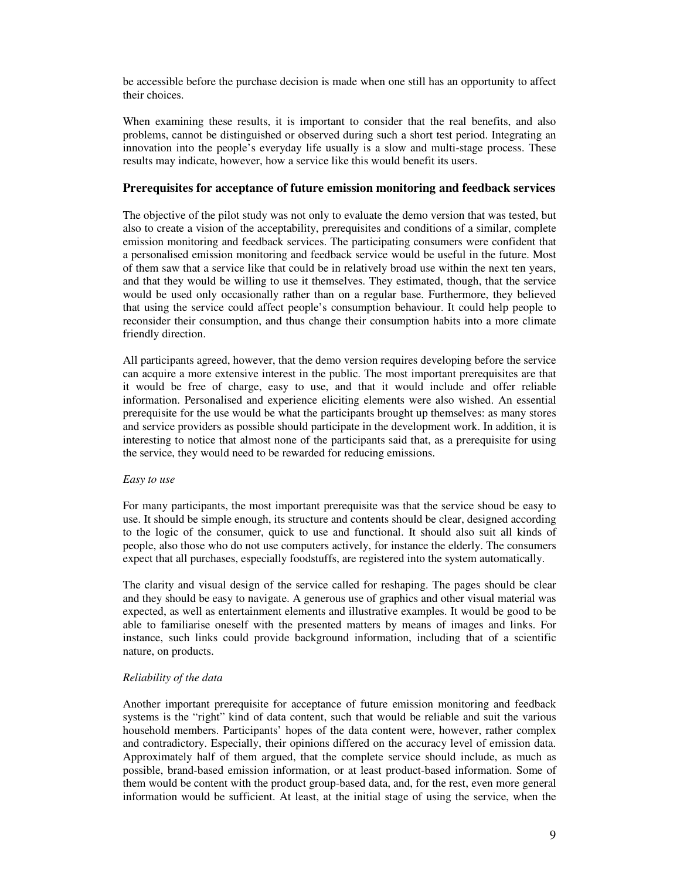be accessible before the purchase decision is made when one still has an opportunity to affect their choices.

When examining these results, it is important to consider that the real benefits, and also problems, cannot be distinguished or observed during such a short test period. Integrating an innovation into the people's everyday life usually is a slow and multi-stage process. These results may indicate, however, how a service like this would benefit its users.

## **Prerequisites for acceptance of future emission monitoring and feedback services**

The objective of the pilot study was not only to evaluate the demo version that was tested, but also to create a vision of the acceptability, prerequisites and conditions of a similar, complete emission monitoring and feedback services. The participating consumers were confident that a personalised emission monitoring and feedback service would be useful in the future. Most of them saw that a service like that could be in relatively broad use within the next ten years, and that they would be willing to use it themselves. They estimated, though, that the service would be used only occasionally rather than on a regular base. Furthermore, they believed that using the service could affect people's consumption behaviour. It could help people to reconsider their consumption, and thus change their consumption habits into a more climate friendly direction.

All participants agreed, however, that the demo version requires developing before the service can acquire a more extensive interest in the public. The most important prerequisites are that it would be free of charge, easy to use, and that it would include and offer reliable information. Personalised and experience eliciting elements were also wished. An essential prerequisite for the use would be what the participants brought up themselves: as many stores and service providers as possible should participate in the development work. In addition, it is interesting to notice that almost none of the participants said that, as a prerequisite for using the service, they would need to be rewarded for reducing emissions.

### *Easy to use*

For many participants, the most important prerequisite was that the service shoud be easy to use. It should be simple enough, its structure and contents should be clear, designed according to the logic of the consumer, quick to use and functional. It should also suit all kinds of people, also those who do not use computers actively, for instance the elderly. The consumers expect that all purchases, especially foodstuffs, are registered into the system automatically.

The clarity and visual design of the service called for reshaping. The pages should be clear and they should be easy to navigate. A generous use of graphics and other visual material was expected, as well as entertainment elements and illustrative examples. It would be good to be able to familiarise oneself with the presented matters by means of images and links. For instance, such links could provide background information, including that of a scientific nature, on products.

# *Reliability of the data*

Another important prerequisite for acceptance of future emission monitoring and feedback systems is the "right" kind of data content, such that would be reliable and suit the various household members. Participants' hopes of the data content were, however, rather complex and contradictory. Especially, their opinions differed on the accuracy level of emission data. Approximately half of them argued, that the complete service should include, as much as possible, brand-based emission information, or at least product-based information. Some of them would be content with the product group-based data, and, for the rest, even more general information would be sufficient. At least, at the initial stage of using the service, when the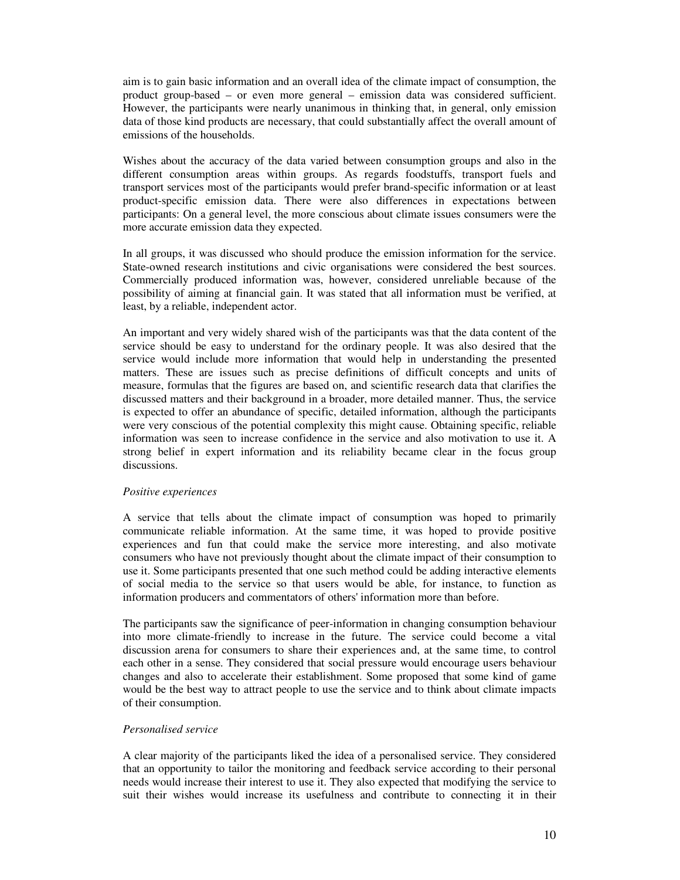aim is to gain basic information and an overall idea of the climate impact of consumption, the product group-based – or even more general – emission data was considered sufficient. However, the participants were nearly unanimous in thinking that, in general, only emission data of those kind products are necessary, that could substantially affect the overall amount of emissions of the households.

Wishes about the accuracy of the data varied between consumption groups and also in the different consumption areas within groups. As regards foodstuffs, transport fuels and transport services most of the participants would prefer brand-specific information or at least product-specific emission data. There were also differences in expectations between participants: On a general level, the more conscious about climate issues consumers were the more accurate emission data they expected.

In all groups, it was discussed who should produce the emission information for the service. State-owned research institutions and civic organisations were considered the best sources. Commercially produced information was, however, considered unreliable because of the possibility of aiming at financial gain. It was stated that all information must be verified, at least, by a reliable, independent actor.

An important and very widely shared wish of the participants was that the data content of the service should be easy to understand for the ordinary people. It was also desired that the service would include more information that would help in understanding the presented matters. These are issues such as precise definitions of difficult concepts and units of measure, formulas that the figures are based on, and scientific research data that clarifies the discussed matters and their background in a broader, more detailed manner. Thus, the service is expected to offer an abundance of specific, detailed information, although the participants were very conscious of the potential complexity this might cause. Obtaining specific, reliable information was seen to increase confidence in the service and also motivation to use it. A strong belief in expert information and its reliability became clear in the focus group discussions.

### *Positive experiences*

A service that tells about the climate impact of consumption was hoped to primarily communicate reliable information. At the same time, it was hoped to provide positive experiences and fun that could make the service more interesting, and also motivate consumers who have not previously thought about the climate impact of their consumption to use it. Some participants presented that one such method could be adding interactive elements of social media to the service so that users would be able, for instance, to function as information producers and commentators of others'information more than before.

The participants saw the significance of peer-information in changing consumption behaviour into more climate-friendly to increase in the future. The service could become a vital discussion arena for consumers to share their experiences and, at the same time, to control each other in a sense. They considered that social pressure would encourage users behaviour changes and also to accelerate their establishment. Some proposed that some kind of game would be the best way to attract people to use the service and to think about climate impacts of their consumption.

### *Personalised service*

A clear majority of the participants liked the idea of a personalised service. They considered that an opportunity to tailor the monitoring and feedback service according to their personal needs would increase their interest to use it. They also expected that modifying the service to suit their wishes would increase its usefulness and contribute to connecting it in their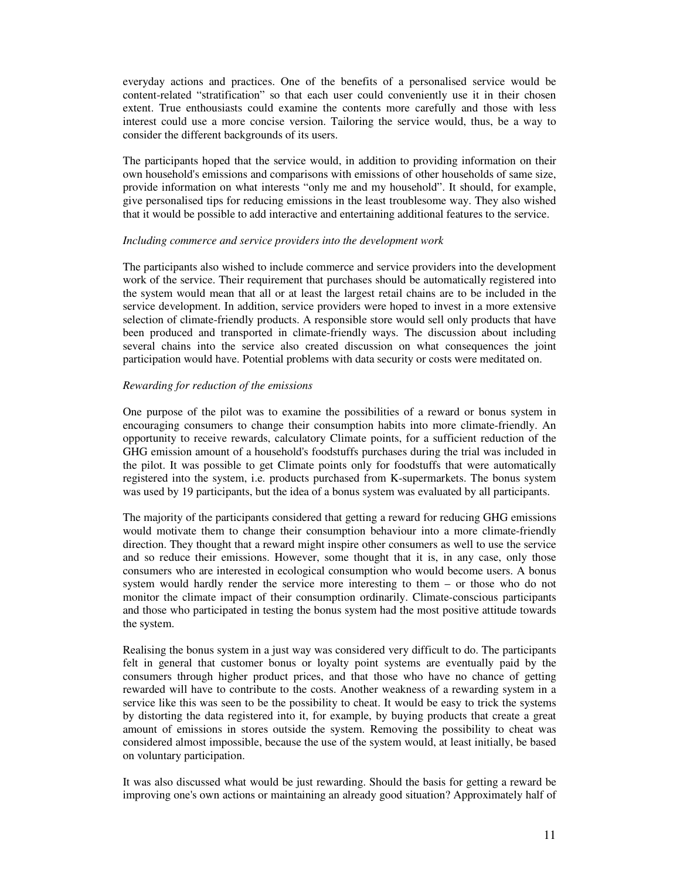everyday actions and practices. One of the benefits of a personalised service would be content-related "stratification" so that each user could conveniently use it in their chosen extent. True enthousiasts could examine the contents more carefully and those with less interest could use a more concise version. Tailoring the service would, thus, be a way to consider the different backgrounds of its users.

The participants hoped that the service would, in addition to providing information on their own household's emissions and comparisons with emissions of other households of same size, provide information on what interests "only me and my household". It should, for example, give personalised tips for reducing emissions in the least troublesome way. They also wished that it would be possible to add interactive and entertaining additional features to the service.

#### *Including commerce and service providers into the development work*

The participants also wished to include commerce and service providers into the development work of the service. Their requirement that purchases should be automatically registered into the system would mean that all or at least the largest retail chains are to be included in the service development. In addition, service providers were hoped to invest in a more extensive selection of climate-friendly products. A responsible store would sell only products that have been produced and transported in climate-friendly ways. The discussion about including several chains into the service also created discussion on what consequences the joint participation would have. Potential problems with data security or costs were meditated on.

#### *Rewarding for reduction of the emissions*

One purpose of the pilot was to examine the possibilities of a reward or bonus system in encouraging consumers to change their consumption habits into more climate-friendly. An opportunity to receive rewards, calculatory Climate points, for a sufficient reduction of the GHG emission amount of a household's foodstuffs purchases during the trial was included in the pilot. It was possible to get Climate points only for foodstuffs that were automatically registered into the system, i.e. products purchased from K-supermarkets. The bonus system was used by 19 participants, but the idea of a bonus system was evaluated by all participants.

The majority of the participants considered that getting a reward for reducing GHG emissions would motivate them to change their consumption behaviour into a more climate-friendly direction. They thought that a reward might inspire other consumers as well to use the service and so reduce their emissions. However, some thought that it is, in any case, only those consumers who are interested in ecological consumption who would become users. A bonus system would hardly render the service more interesting to them – or those who do not monitor the climate impact of their consumption ordinarily. Climate-conscious participants and those who participated in testing the bonus system had the most positive attitude towards the system.

Realising the bonus system in a just way was considered very difficult to do. The participants felt in general that customer bonus or loyalty point systems are eventually paid by the consumers through higher product prices, and that those who have no chance of getting rewarded will have to contribute to the costs. Another weakness of a rewarding system in a service like this was seen to be the possibility to cheat. It would be easy to trick the systems by distorting the data registered into it, for example, by buying products that create a great amount of emissions in stores outside the system. Removing the possibility to cheat was considered almost impossible, because the use of the system would, at least initially, be based on voluntary participation.

It was also discussed what would be just rewarding. Should the basis for getting a reward be improving one's own actions or maintaining an already good situation? Approximately half of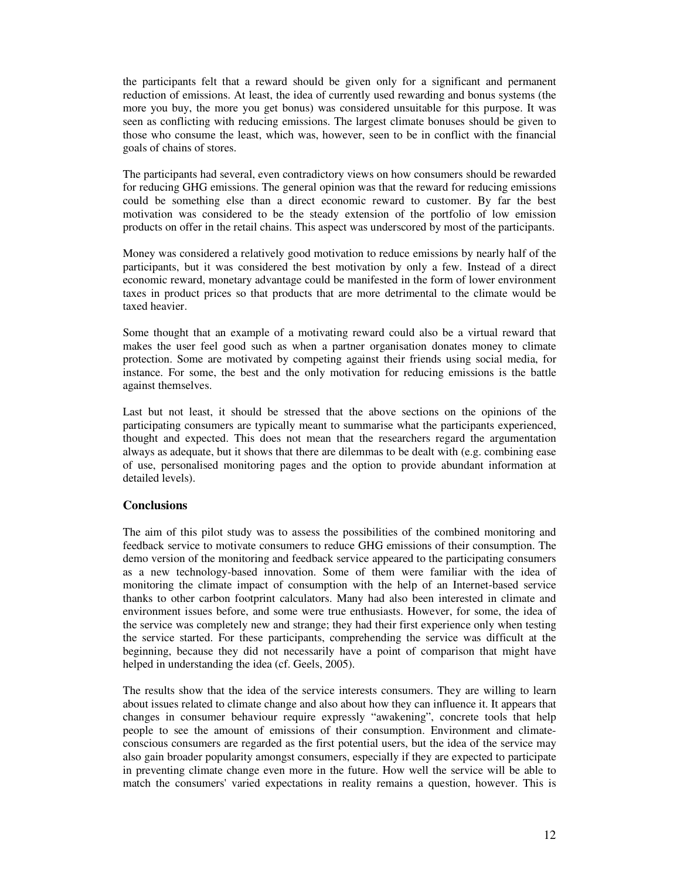the participants felt that a reward should be given only for a significant and permanent reduction of emissions. At least, the idea of currently used rewarding and bonus systems (the more you buy, the more you get bonus) was considered unsuitable for this purpose. It was seen as conflicting with reducing emissions. The largest climate bonuses should be given to those who consume the least, which was, however, seen to be in conflict with the financial goals of chains of stores.

The participants had several, even contradictory views on how consumers should be rewarded for reducing GHG emissions. The general opinion was that the reward for reducing emissions could be something else than a direct economic reward to customer. By far the best motivation was considered to be the steady extension of the portfolio of low emission products on offer in the retail chains. This aspect was underscored by most of the participants.

Money was considered a relatively good motivation to reduce emissions by nearly half of the participants, but it was considered the best motivation by only a few. Instead of a direct economic reward, monetary advantage could be manifested in the form of lower environment taxes in product prices so that products that are more detrimental to the climate would be taxed heavier.

Some thought that an example of a motivating reward could also be a virtual reward that makes the user feel good such as when a partner organisation donates money to climate protection. Some are motivated by competing against their friends using social media, for instance. For some, the best and the only motivation for reducing emissions is the battle against themselves.

Last but not least, it should be stressed that the above sections on the opinions of the participating consumers are typically meant to summarise what the participants experienced, thought and expected. This does not mean that the researchers regard the argumentation always as adequate, but it shows that there are dilemmas to be dealt with (e.g. combining ease of use, personalised monitoring pages and the option to provide abundant information at detailed levels).

# **Conclusions**

The aim of this pilot study was to assess the possibilities of the combined monitoring and feedback service to motivate consumers to reduce GHG emissions of their consumption. The demo version of the monitoring and feedback service appeared to the participating consumers as a new technology-based innovation. Some of them were familiar with the idea of monitoring the climate impact of consumption with the help of an Internet-based service thanks to other carbon footprint calculators. Many had also been interested in climate and environment issues before, and some were true enthusiasts. However, for some, the idea of the service was completely new and strange; they had their first experience only when testing the service started. For these participants, comprehending the service was difficult at the beginning, because they did not necessarily have a point of comparison that might have helped in understanding the idea (cf. Geels, 2005).

The results show that the idea of the service interests consumers. They are willing to learn about issues related to climate change and also about how they can influence it. It appears that changes in consumer behaviour require expressly "awakening", concrete tools that help people to see the amount of emissions of their consumption. Environment and climateconscious consumers are regarded as the first potential users, but the idea of the service may also gain broader popularity amongst consumers, especially if they are expected to participate in preventing climate change even more in the future. How well the service will be able to match the consumers'varied expectations in reality remains a question, however. This is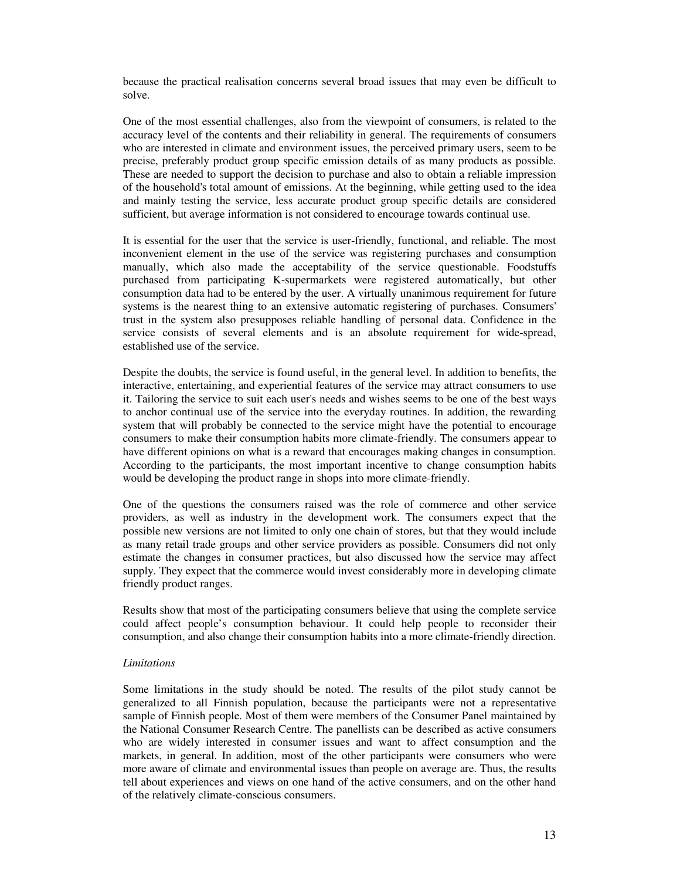because the practical realisation concerns several broad issues that may even be difficult to solve.

One of the most essential challenges, also from the viewpoint of consumers, is related to the accuracy level of the contents and their reliability in general. The requirements of consumers who are interested in climate and environment issues, the perceived primary users, seem to be precise, preferably product group specific emission details of as many products as possible. These are needed to support the decision to purchase and also to obtain a reliable impression of the household's total amount of emissions. At the beginning, while getting used to the idea and mainly testing the service, less accurate product group specific details are considered sufficient, but average information is not considered to encourage towards continual use.

It is essential for the user that the service is user-friendly, functional, and reliable. The most inconvenient element in the use of the service was registering purchases and consumption manually, which also made the acceptability of the service questionable. Foodstuffs purchased from participating K-supermarkets were registered automatically, but other consumption data had to be entered by the user. A virtually unanimous requirement for future systems is the nearest thing to an extensive automatic registering of purchases. Consumers' trust in the system also presupposes reliable handling of personal data. Confidence in the service consists of several elements and is an absolute requirement for wide-spread, established use of the service.

Despite the doubts, the service is found useful, in the general level. In addition to benefits, the interactive, entertaining, and experiential features of the service may attract consumers to use it. Tailoring the service to suit each user's needs and wishes seems to be one of the best ways to anchor continual use of the service into the everyday routines. In addition, the rewarding system that will probably be connected to the service might have the potential to encourage consumers to make their consumption habits more climate-friendly. The consumers appear to have different opinions on what is a reward that encourages making changes in consumption. According to the participants, the most important incentive to change consumption habits would be developing the product range in shops into more climate-friendly.

One of the questions the consumers raised was the role of commerce and other service providers, as well as industry in the development work. The consumers expect that the possible new versions are not limited to only one chain of stores, but that they would include as many retail trade groups and other service providers as possible. Consumers did not only estimate the changes in consumer practices, but also discussed how the service may affect supply. They expect that the commerce would invest considerably more in developing climate friendly product ranges.

Results show that most of the participating consumers believe that using the complete service could affect people's consumption behaviour. It could help people to reconsider their consumption, and also change their consumption habits into a more climate-friendly direction.

#### *Limitations*

Some limitations in the study should be noted. The results of the pilot study cannot be generalized to all Finnish population, because the participants were not a representative sample of Finnish people. Most of them were members of the Consumer Panel maintained by the National Consumer Research Centre. The panellists can be described as active consumers who are widely interested in consumer issues and want to affect consumption and the markets, in general. In addition, most of the other participants were consumers who were more aware of climate and environmental issues than people on average are. Thus, the results tell about experiences and views on one hand of the active consumers, and on the other hand of the relatively climate-conscious consumers.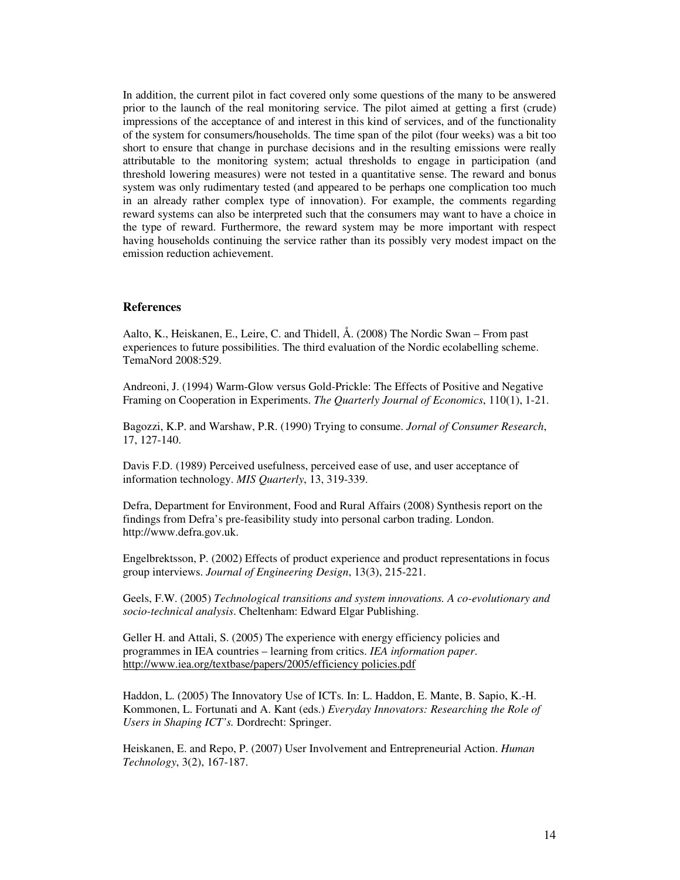In addition, the current pilot in fact covered only some questions of the many to be answered prior to the launch of the real monitoring service. The pilot aimed at getting a first (crude) impressions of the acceptance of and interest in this kind of services, and of the functionality of the system for consumers/households. The time span of the pilot (four weeks) was a bit too short to ensure that change in purchase decisions and in the resulting emissions were really attributable to the monitoring system; actual thresholds to engage in participation (and threshold lowering measures) were not tested in a quantitative sense. The reward and bonus system was only rudimentary tested (and appeared to be perhaps one complication too much in an already rather complex type of innovation). For example, the comments regarding reward systems can also be interpreted such that the consumers may want to have a choice in the type of reward. Furthermore, the reward system may be more important with respect having households continuing the service rather than its possibly very modest impact on the emission reduction achievement.

### **References**

Aalto, K., Heiskanen, E., Leire, C. and Thidell, Å. (2008) The Nordic Swan – From past experiences to future possibilities. The third evaluation of the Nordic ecolabelling scheme. TemaNord 2008:529.

Andreoni, J. (1994) Warm-Glow versus Gold-Prickle: The Effects of Positive and Negative Framing on Cooperation in Experiments. *The Quarterly Journal of Economics*, 110(1), 1-21.

Bagozzi, K.P. and Warshaw, P.R. (1990) Trying to consume. *Jornal of Consumer Research*, 17, 127-140.

Davis F.D. (1989) Perceived usefulness, perceived ease of use, and user acceptance of information technology. *MIS Quarterly*, 13, 319-339.

Defra, Department for Environment, Food and Rural Affairs (2008) Synthesis report on the findings from Defra's pre-feasibility study into personal carbon trading. London. http://www.defra.gov.uk.

Engelbrektsson, P. (2002) Effects of product experience and product representations in focus group interviews. *Journal of Engineering Design*, 13(3), 215-221.

Geels, F.W. (2005) *Technological transitions and system innovations. A co-evolutionary and socio-technical analysis*. Cheltenham: Edward Elgar Publishing.

Geller H. and Attali, S. (2005) The experience with energy efficiency policies and programmes in IEA countries – learning from critics. *IEA information paper*. http://www.iea.org/textbase/papers/2005/efficiency policies.pdf

Haddon, L. (2005) The Innovatory Use of ICTs. In: L. Haddon, E. Mante, B. Sapio, K.-H. Kommonen, L. Fortunati and A. Kant (eds.) *Everyday Innovators: Researching the Role of Users in Shaping ICT's.* Dordrecht: Springer.

Heiskanen, E. and Repo, P. (2007) User Involvement and Entrepreneurial Action. *Human Technology*, 3(2), 167-187.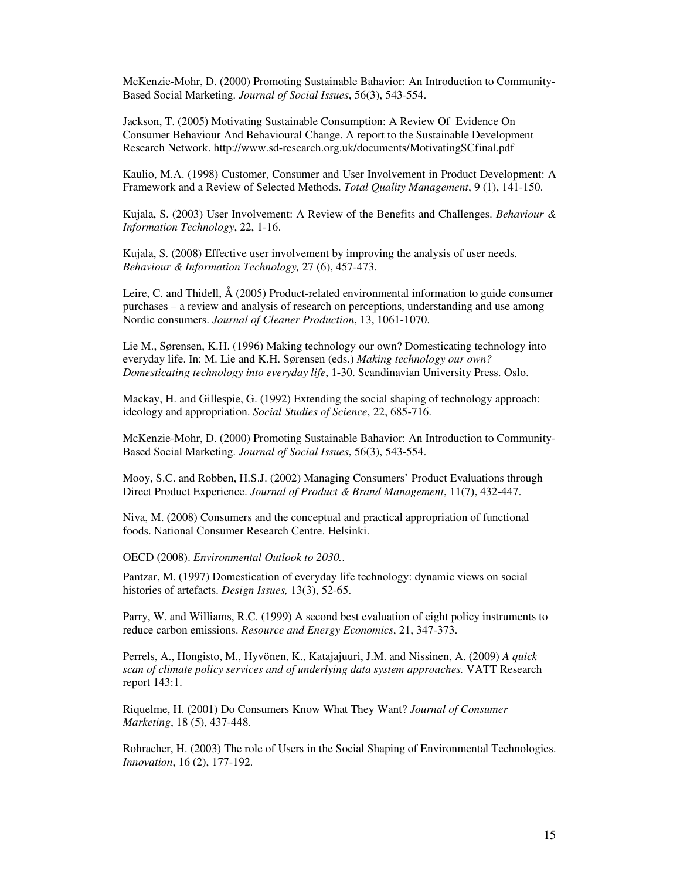McKenzie-Mohr, D. (2000) Promoting Sustainable Bahavior: An Introduction to Community-Based Social Marketing. *Journal of Social Issues*, 56(3), 543-554.

Jackson, T. (2005) Motivating Sustainable Consumption: A Review Of Evidence On Consumer Behaviour And Behavioural Change. A report to the Sustainable Development Research Network. http://www.sd-research.org.uk/documents/MotivatingSCfinal.pdf

Kaulio, M.A. (1998) Customer, Consumer and User Involvement in Product Development: A Framework and a Review of Selected Methods. *Total Quality Management*, 9 (1), 141-150.

Kujala, S. (2003) User Involvement: A Review of the Benefits and Challenges. *Behaviour & Information Technology*, 22, 1-16.

Kujala, S. (2008) Effective user involvement by improving the analysis of user needs. *Behaviour & Information Technology,* 27 (6), 457-473.

Leire, C. and Thidell, Å (2005) Product-related environmental information to guide consumer purchases – a review and analysis of research on perceptions, understanding and use among Nordic consumers. *Journal of Cleaner Production*, 13, 1061-1070.

Lie M., Sørensen, K.H. (1996) Making technology our own? Domesticating technology into everyday life. In: M. Lie and K.H. Sørensen (eds.) *Making technology our own? Domesticating technology into everyday life*, 1-30. Scandinavian University Press. Oslo.

Mackay, H. and Gillespie, G. (1992) Extending the social shaping of technology approach: ideology and appropriation. *Social Studies of Science*, 22, 685-716.

McKenzie-Mohr, D. (2000) Promoting Sustainable Bahavior: An Introduction to Community-Based Social Marketing. *Journal of Social Issues*, 56(3), 543-554.

Mooy, S.C. and Robben, H.S.J. (2002) Managing Consumers' Product Evaluations through Direct Product Experience. *Journal of Product & Brand Management*, 11(7), 432-447.

Niva, M. (2008) Consumers and the conceptual and practical appropriation of functional foods. National Consumer Research Centre. Helsinki.

OECD (2008). *Environmental Outlook to 2030.*.

Pantzar, M. (1997) Domestication of everyday life technology: dynamic views on social histories of artefacts. *Design Issues,* 13(3), 52-65.

Parry, W. and Williams, R.C. (1999) A second best evaluation of eight policy instruments to reduce carbon emissions. *Resource and Energy Economics*, 21, 347-373.

Perrels, A., Hongisto, M., Hyvönen, K., Katajajuuri, J.M. and Nissinen, A. (2009) *A quick scan of climate policy services and of underlying data system approaches.* VATT Research report 143:1.

Riquelme, H. (2001) Do Consumers Know What They Want? *Journal of Consumer Marketing*, 18 (5), 437-448.

Rohracher, H. (2003) The role of Users in the Social Shaping of Environmental Technologies. *Innovation*, 16 (2), 177-192.